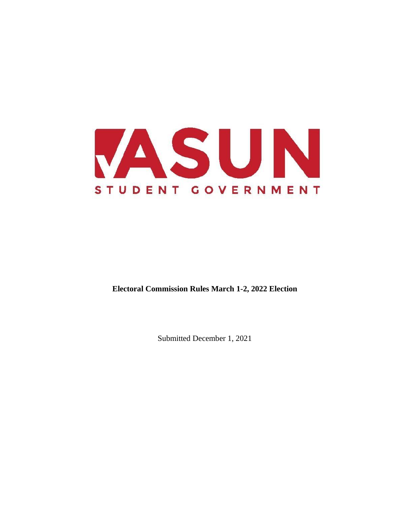

**Electoral Commission Rules March 1-2, 2022 Election** 

Submitted December 1, 2021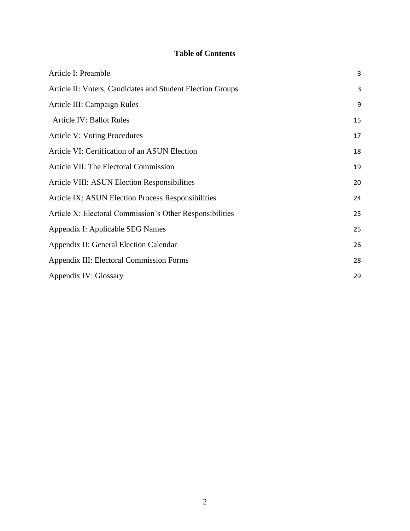# **Table of Contents**

| Article I: Preamble                                        | 3  |
|------------------------------------------------------------|----|
| Article II: Voters, Candidates and Student Election Groups | 3  |
| Article III: Campaign Rules                                | 9  |
| <b>Article IV: Ballot Rules</b>                            | 15 |
| <b>Article V: Voting Procedures</b>                        | 17 |
| Article VI: Certification of an ASUN Election              | 18 |
| Article VII: The Electoral Commission                      | 19 |
| Article VIII: ASUN Election Responsibilities               | 20 |
| <b>Article IX: ASUN Election Process Responsibilities</b>  | 24 |
| Article X: Electoral Commission's Other Responsibilities   | 25 |
| Appendix I: Applicable SEG Names                           | 25 |
| Appendix II: General Election Calendar                     | 26 |
| <b>Appendix III: Electoral Commission Forms</b>            | 28 |
| Appendix IV: Glossary                                      | 29 |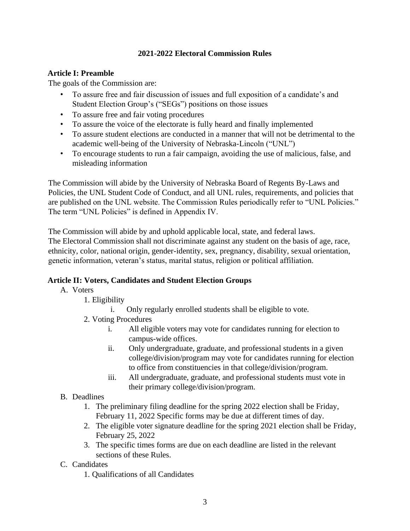#### **2021-2022 Electoral Commission Rules**

## <span id="page-2-0"></span>**Article I: Preamble**

The goals of the Commission are:

- To assure free and fair discussion of issues and full exposition of a candidate's and Student Election Group's ("SEGs") positions on those issues
- To assure free and fair voting procedures
- To assure the voice of the electorate is fully heard and finally implemented
- To assure student elections are conducted in a manner that will not be detrimental to the academic well-being of the University of Nebraska-Lincoln ("UNL")
- To encourage students to run a fair campaign, avoiding the use of malicious, false, and misleading information

The Commission will abide by the University of Nebraska Board of Regents By-Laws and Policies, the UNL Student Code of Conduct, and all UNL rules, requirements, and policies that are published on the UNL website. The Commission Rules periodically refer to "UNL Policies." The term "UNL Policies" is defined in Appendix IV.

The Commission will abide by and uphold applicable local, state, and federal laws. The Electoral Commission shall not discriminate against any student on the basis of age, race, ethnicity, color, national origin, gender-identity, sex, pregnancy, disability, sexual orientation, genetic information, veteran's status, marital status, religion or political affiliation.

#### <span id="page-2-1"></span>**Article II: Voters, Candidates and Student Election Groups**

- A. Voters
	- 1. Eligibility
		- i. Only regularly enrolled students shall be eligible to vote.
	- 2. Voting Procedures
		- i. All eligible voters may vote for candidates running for election to campus-wide offices.
		- ii. Only undergraduate, graduate, and professional students in a given college/division/program may vote for candidates running for election to office from constituencies in that college/division/program.
		- iii. All undergraduate, graduate, and professional students must vote in their primary college/division/program.
- B. Deadlines
	- 1. The preliminary filing deadline for the spring 2022 election shall be Friday, February 11, 2022 Specific forms may be due at different times of day.
	- 2. The eligible voter signature deadline for the spring 2021 election shall be Friday, February 25, 2022
	- 3. The specific times forms are due on each deadline are listed in the relevant sections of these Rules.
- C. Candidates
	- 1. Qualifications of all Candidates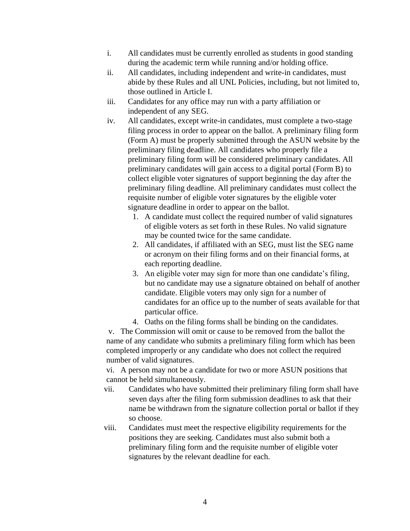- i. All candidates must be currently enrolled as students in good standing during the academic term while running and/or holding office.
- ii. All candidates, including independent and write-in candidates, must abide by these Rules and all UNL Policies, including, but not limited to, those outlined in Article I.
- iii. Candidates for any office may run with a party affiliation or independent of any SEG.
- iv. All candidates, except write-in candidates, must complete a two-stage filing process in order to appear on the ballot. A preliminary filing form (Form A) must be properly submitted through the ASUN website by the preliminary filing deadline. All candidates who properly file a preliminary filing form will be considered preliminary candidates. All preliminary candidates will gain access to a digital portal (Form B) to collect eligible voter signatures of support beginning the day after the preliminary filing deadline. All preliminary candidates must collect the requisite number of eligible voter signatures by the eligible voter signature deadline in order to appear on the ballot.
	- 1. A candidate must collect the required number of valid signatures of eligible voters as set forth in these Rules. No valid signature may be counted twice for the same candidate.
	- 2. All candidates, if affiliated with an SEG, must list the SEG name or acronym on their filing forms and on their financial forms, at each reporting deadline.
	- 3. An eligible voter may sign for more than one candidate's filing, but no candidate may use a signature obtained on behalf of another candidate. Eligible voters may only sign for a number of candidates for an office up to the number of seats available for that particular office.
	- 4. Oaths on the filing forms shall be binding on the candidates.

v. The Commission will omit or cause to be removed from the ballot the name of any candidate who submits a preliminary filing form which has been completed improperly or any candidate who does not collect the required number of valid signatures.

vi. A person may not be a candidate for two or more ASUN positions that cannot be held simultaneously.

- vii. Candidates who have submitted their preliminary filing form shall have seven days after the filing form submission deadlines to ask that their name be withdrawn from the signature collection portal or ballot if they so choose.
- viii. Candidates must meet the respective eligibility requirements for the positions they are seeking. Candidates must also submit both a preliminary filing form and the requisite number of eligible voter signatures by the relevant deadline for each.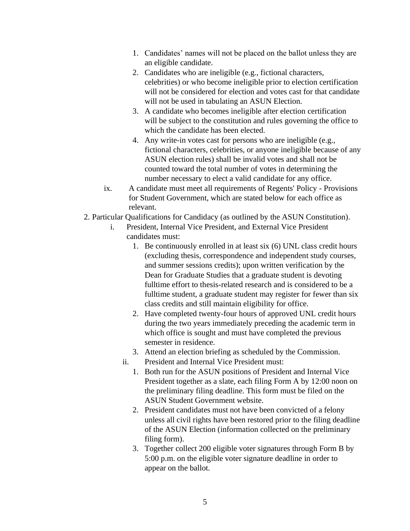- 1. Candidates' names will not be placed on the ballot unless they are an eligible candidate.
- 2. Candidates who are ineligible (e.g., fictional characters, celebrities) or who become ineligible prior to election certification will not be considered for election and votes cast for that candidate will not be used in tabulating an ASUN Election.
- 3. A candidate who becomes ineligible after election certification will be subject to the constitution and rules governing the office to which the candidate has been elected.
- 4. Any write-in votes cast for persons who are ineligible (e.g., fictional characters, celebrities, or anyone ineligible because of any ASUN election rules) shall be invalid votes and shall not be counted toward the total number of votes in determining the number necessary to elect a valid candidate for any office.
- ix. A candidate must meet all requirements of Regents' Policy Provisions for Student Government, which are stated below for each office as relevant.
- 2. Particular Qualifications for Candidacy (as outlined by the ASUN Constitution).
	- i. President, Internal Vice President, and External Vice President candidates must:
		- 1. Be continuously enrolled in at least six (6) UNL class credit hours (excluding thesis, correspondence and independent study courses, and summer sessions credits); upon written verification by the Dean for Graduate Studies that a graduate student is devoting fulltime effort to thesis-related research and is considered to be a fulltime student, a graduate student may register for fewer than six class credits and still maintain eligibility for office.
		- 2. Have completed twenty-four hours of approved UNL credit hours during the two years immediately preceding the academic term in which office is sought and must have completed the previous semester in residence.
		- 3. Attend an election briefing as scheduled by the Commission.
		- ii. President and Internal Vice President must:
			- 1. Both run for the ASUN positions of President and Internal Vice President together as a slate, each filing Form A by 12:00 noon on the preliminary filing deadline. This form must be filed on the ASUN Student Government website.
			- 2. President candidates must not have been convicted of a felony unless all civil rights have been restored prior to the filing deadline of the ASUN Election (information collected on the preliminary filing form).
			- 3. Together collect 200 eligible voter signatures through Form B by 5:00 p.m. on the eligible voter signature deadline in order to appear on the ballot.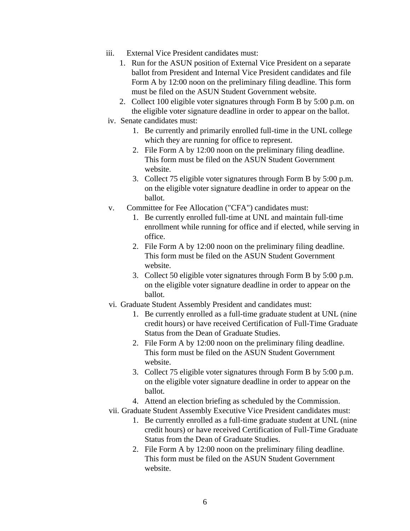- iii. External Vice President candidates must:
	- 1. Run for the ASUN position of External Vice President on a separate ballot from President and Internal Vice President candidates and file Form A by 12:00 noon on the preliminary filing deadline. This form must be filed on the ASUN Student Government website.
	- 2. Collect 100 eligible voter signatures through Form B by 5:00 p.m. on the eligible voter signature deadline in order to appear on the ballot.
- iv. Senate candidates must:
	- 1. Be currently and primarily enrolled full-time in the UNL college which they are running for office to represent.
	- 2. File Form A by 12:00 noon on the preliminary filing deadline. This form must be filed on the ASUN Student Government website.
	- 3. Collect 75 eligible voter signatures through Form B by 5:00 p.m. on the eligible voter signature deadline in order to appear on the ballot.
- v. Committee for Fee Allocation ("CFA") candidates must:
	- 1. Be currently enrolled full-time at UNL and maintain full-time enrollment while running for office and if elected, while serving in office.
	- 2. File Form A by 12:00 noon on the preliminary filing deadline. This form must be filed on the ASUN Student Government website.
	- 3. Collect 50 eligible voter signatures through Form B by 5:00 p.m. on the eligible voter signature deadline in order to appear on the ballot.
- vi. Graduate Student Assembly President and candidates must:
	- 1. Be currently enrolled as a full-time graduate student at UNL (nine credit hours) or have received Certification of Full-Time Graduate Status from the Dean of Graduate Studies.
	- 2. File Form A by 12:00 noon on the preliminary filing deadline. This form must be filed on the ASUN Student Government website.
	- 3. Collect 75 eligible voter signatures through Form B by 5:00 p.m. on the eligible voter signature deadline in order to appear on the ballot.
	- 4. Attend an election briefing as scheduled by the Commission.
- vii. Graduate Student Assembly Executive Vice President candidates must:
	- 1. Be currently enrolled as a full-time graduate student at UNL (nine credit hours) or have received Certification of Full-Time Graduate Status from the Dean of Graduate Studies.
	- 2. File Form A by 12:00 noon on the preliminary filing deadline. This form must be filed on the ASUN Student Government website.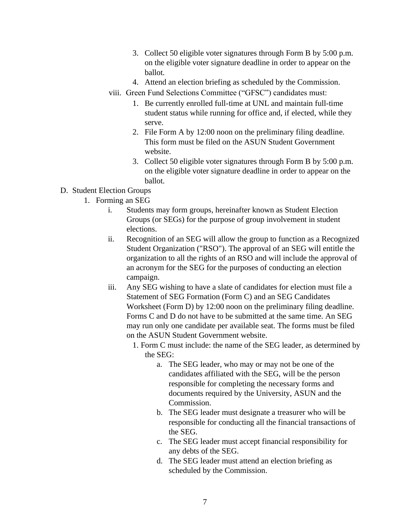- 3. Collect 50 eligible voter signatures through Form B by 5:00 p.m. on the eligible voter signature deadline in order to appear on the ballot.
- 4. Attend an election briefing as scheduled by the Commission.
- viii. Green Fund Selections Committee ("GFSC") candidates must:
	- 1. Be currently enrolled full-time at UNL and maintain full-time student status while running for office and, if elected, while they serve.
	- 2. File Form A by 12:00 noon on the preliminary filing deadline. This form must be filed on the ASUN Student Government website.
	- 3. Collect 50 eligible voter signatures through Form B by 5:00 p.m. on the eligible voter signature deadline in order to appear on the ballot.
- D. Student Election Groups
	- 1. Forming an SEG
		- i. Students may form groups, hereinafter known as Student Election Groups (or SEGs) for the purpose of group involvement in student elections.
		- ii. Recognition of an SEG will allow the group to function as a Recognized Student Organization ("RSO"). The approval of an SEG will entitle the organization to all the rights of an RSO and will include the approval of an acronym for the SEG for the purposes of conducting an election campaign.
		- iii. Any SEG wishing to have a slate of candidates for election must file a Statement of SEG Formation (Form C) and an SEG Candidates Worksheet (Form D) by 12:00 noon on the preliminary filing deadline. Forms C and D do not have to be submitted at the same time. An SEG may run only one candidate per available seat. The forms must be filed on the ASUN Student Government website.
			- 1. Form C must include: the name of the SEG leader, as determined by the SEG:
				- a. The SEG leader, who may or may not be one of the candidates affiliated with the SEG, will be the person responsible for completing the necessary forms and documents required by the University, ASUN and the Commission.
				- b. The SEG leader must designate a treasurer who will be responsible for conducting all the financial transactions of the SEG.
				- c. The SEG leader must accept financial responsibility for any debts of the SEG.
				- d. The SEG leader must attend an election briefing as scheduled by the Commission.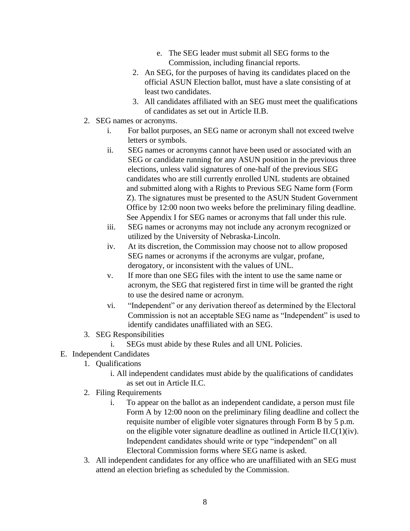- e. The SEG leader must submit all SEG forms to the Commission, including financial reports.
- 2. An SEG, for the purposes of having its candidates placed on the official ASUN Election ballot, must have a slate consisting of at least two candidates.
- 3. All candidates affiliated with an SEG must meet the qualifications of candidates as set out in Article II.B.
- 2. SEG names or acronyms.
	- i. For ballot purposes, an SEG name or acronym shall not exceed twelve letters or symbols.
	- ii. SEG names or acronyms cannot have been used or associated with an SEG or candidate running for any ASUN position in the previous three elections, unless valid signatures of one-half of the previous SEG candidates who are still currently enrolled UNL students are obtained and submitted along with a Rights to Previous SEG Name form (Form Z). The signatures must be presented to the ASUN Student Government Office by 12:00 noon two weeks before the preliminary filing deadline. See Appendix I for SEG names or acronyms that fall under this rule.
	- iii. SEG names or acronyms may not include any acronym recognized or utilized by the University of Nebraska-Lincoln.
	- iv. At its discretion, the Commission may choose not to allow proposed SEG names or acronyms if the acronyms are vulgar, profane, derogatory, or inconsistent with the values of UNL.
	- v. If more than one SEG files with the intent to use the same name or acronym, the SEG that registered first in time will be granted the right to use the desired name or acronym.
	- vi. "Independent" or any derivation thereof as determined by the Electoral Commission is not an acceptable SEG name as "Independent" is used to identify candidates unaffiliated with an SEG.
- 3. SEG Responsibilities
	- i. SEGs must abide by these Rules and all UNL Policies.
- E. Independent Candidates
	- 1. Qualifications
		- i. All independent candidates must abide by the qualifications of candidates as set out in Article II.C.
	- 2. Filing Requirements
		- i. To appear on the ballot as an independent candidate, a person must file Form A by 12:00 noon on the preliminary filing deadline and collect the requisite number of eligible voter signatures through Form B by 5 p.m. on the eligible voter signature deadline as outlined in Article II. $C(1)(iv)$ . Independent candidates should write or type "independent" on all Electoral Commission forms where SEG name is asked.
	- 3. All independent candidates for any office who are unaffiliated with an SEG must attend an election briefing as scheduled by the Commission.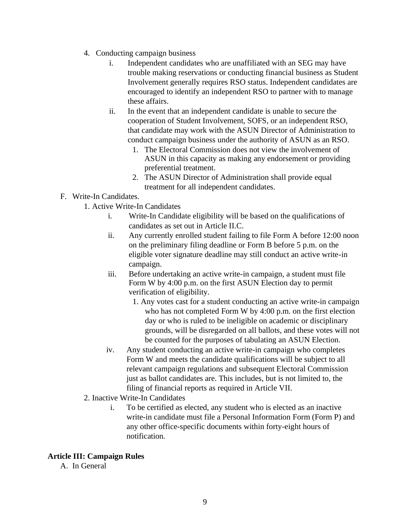- 4. Conducting campaign business
	- i. Independent candidates who are unaffiliated with an SEG may have trouble making reservations or conducting financial business as Student Involvement generally requires RSO status. Independent candidates are encouraged to identify an independent RSO to partner with to manage these affairs.
	- ii. In the event that an independent candidate is unable to secure the cooperation of Student Involvement, SOFS, or an independent RSO, that candidate may work with the ASUN Director of Administration to conduct campaign business under the authority of ASUN as an RSO.
		- 1. The Electoral Commission does not view the involvement of ASUN in this capacity as making any endorsement or providing preferential treatment.
		- 2. The ASUN Director of Administration shall provide equal treatment for all independent candidates.
- F. Write-In Candidates.
	- 1. Active Write-In Candidates
		- i. Write-In Candidate eligibility will be based on the qualifications of candidates as set out in Article II.C.
		- ii. Any currently enrolled student failing to file Form A before 12:00 noon on the preliminary filing deadline or Form B before 5 p.m. on the eligible voter signature deadline may still conduct an active write-in campaign.
		- iii. Before undertaking an active write-in campaign, a student must file Form W by 4:00 p.m. on the first ASUN Election day to permit verification of eligibility.
			- 1. Any votes cast for a student conducting an active write-in campaign who has not completed Form W by 4:00 p.m. on the first election day or who is ruled to be ineligible on academic or disciplinary grounds, will be disregarded on all ballots, and these votes will not be counted for the purposes of tabulating an ASUN Election.
		- iv. Any student conducting an active write-in campaign who completes Form W and meets the candidate qualifications will be subject to all relevant campaign regulations and subsequent Electoral Commission just as ballot candidates are. This includes, but is not limited to, the filing of financial reports as required in Article VII.
	- 2. Inactive Write-In Candidates
		- i. To be certified as elected, any student who is elected as an inactive write-in candidate must file a Personal Information Form (Form P) and any other office-specific documents within forty-eight hours of notification.

#### <span id="page-8-0"></span>**Article III: Campaign Rules**

A. In General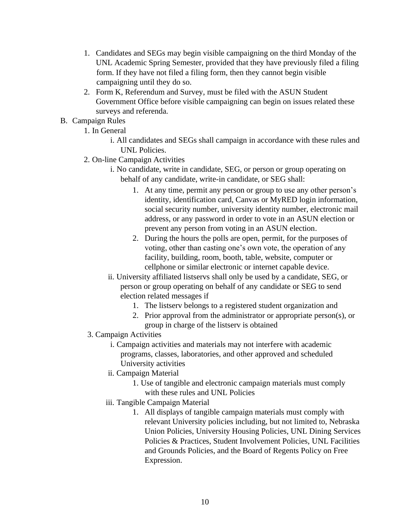- 1. Candidates and SEGs may begin visible campaigning on the third Monday of the UNL Academic Spring Semester, provided that they have previously filed a filing form. If they have not filed a filing form, then they cannot begin visible campaigning until they do so.
- 2. Form K, Referendum and Survey, must be filed with the ASUN Student Government Office before visible campaigning can begin on issues related these surveys and referenda.
- B. Campaign Rules
	- 1. In General
		- i. All candidates and SEGs shall campaign in accordance with these rules and UNL Policies.
	- 2. On-line Campaign Activities
		- i. No candidate, write in candidate, SEG, or person or group operating on behalf of any candidate, write-in candidate, or SEG shall:
			- 1. At any time, permit any person or group to use any other person's identity, identification card, Canvas or MyRED login information, social security number, university identity number, electronic mail address, or any password in order to vote in an ASUN election or prevent any person from voting in an ASUN election.
			- 2. During the hours the polls are open, permit, for the purposes of voting, other than casting one's own vote, the operation of any facility, building, room, booth, table, website, computer or cellphone or similar electronic or internet capable device.
		- ii. University affiliated listservs shall only be used by a candidate, SEG, or person or group operating on behalf of any candidate or SEG to send election related messages if
			- 1. The listserv belongs to a registered student organization and
			- 2. Prior approval from the administrator or appropriate person(s), or group in charge of the listserv is obtained
	- 3. Campaign Activities
		- i. Campaign activities and materials may not interfere with academic programs, classes, laboratories, and other approved and scheduled University activities
		- ii. Campaign Material
			- 1. Use of tangible and electronic campaign materials must comply with these rules and UNL Policies
		- iii. Tangible Campaign Material
			- 1. All displays of tangible campaign materials must comply with relevant University policies including, but not limited to, Nebraska Union Policies, University Housing Policies, UNL Dining Services Policies & Practices, Student Involvement Policies, UNL Facilities and Grounds Policies, and the Board of Regents Policy on Free Expression.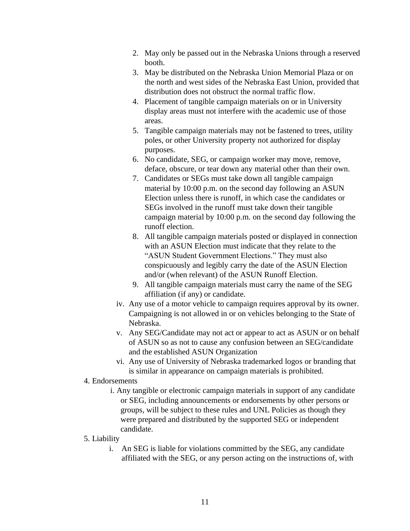- 2. May only be passed out in the Nebraska Unions through a reserved booth.
- 3. May be distributed on the Nebraska Union Memorial Plaza or on the north and west sides of the Nebraska East Union, provided that distribution does not obstruct the normal traffic flow.
- 4. Placement of tangible campaign materials on or in University display areas must not interfere with the academic use of those areas.
- 5. Tangible campaign materials may not be fastened to trees, utility poles, or other University property not authorized for display purposes.
- 6. No candidate, SEG, or campaign worker may move, remove, deface, obscure, or tear down any material other than their own.
- 7. Candidates or SEGs must take down all tangible campaign material by 10:00 p.m. on the second day following an ASUN Election unless there is runoff, in which case the candidates or SEGs involved in the runoff must take down their tangible campaign material by 10:00 p.m. on the second day following the runoff election.
- 8. All tangible campaign materials posted or displayed in connection with an ASUN Election must indicate that they relate to the "ASUN Student Government Elections." They must also conspicuously and legibly carry the date of the ASUN Election and/or (when relevant) of the ASUN Runoff Election.
- 9. All tangible campaign materials must carry the name of the SEG affiliation (if any) or candidate.
- iv. Any use of a motor vehicle to campaign requires approval by its owner. Campaigning is not allowed in or on vehicles belonging to the State of Nebraska.
- v. Any SEG/Candidate may not act or appear to act as ASUN or on behalf of ASUN so as not to cause any confusion between an SEG/candidate and the established ASUN Organization
- vi. Any use of University of Nebraska trademarked logos or branding that is similar in appearance on campaign materials is prohibited.

#### 4. Endorsements

i. Any tangible or electronic campaign materials in support of any candidate or SEG, including announcements or endorsements by other persons or groups, will be subject to these rules and UNL Policies as though they were prepared and distributed by the supported SEG or independent candidate.

#### 5. Liability

i. An SEG is liable for violations committed by the SEG, any candidate affiliated with the SEG, or any person acting on the instructions of, with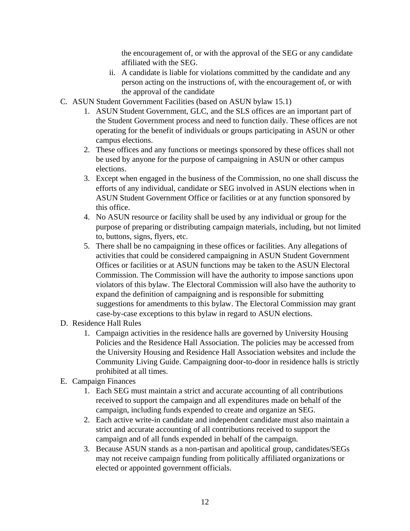the encouragement of, or with the approval of the SEG or any candidate affiliated with the SEG.

- ii. A candidate is liable for violations committed by the candidate and any person acting on the instructions of, with the encouragement of, or with the approval of the candidate
- C. ASUN Student Government Facilities (based on ASUN bylaw 15.1)
	- 1. ASUN Student Government, GLC, and the SLS offices are an important part of the Student Government process and need to function daily. These offices are not operating for the benefit of individuals or groups participating in ASUN or other campus elections.
	- 2. These offices and any functions or meetings sponsored by these offices shall not be used by anyone for the purpose of campaigning in ASUN or other campus elections.
	- 3. Except when engaged in the business of the Commission, no one shall discuss the efforts of any individual, candidate or SEG involved in ASUN elections when in ASUN Student Government Office or facilities or at any function sponsored by this office.
	- 4. No ASUN resource or facility shall be used by any individual or group for the purpose of preparing or distributing campaign materials, including, but not limited to, buttons, signs, flyers, etc.
	- 5. There shall be no campaigning in these offices or facilities. Any allegations of activities that could be considered campaigning in ASUN Student Government Offices or facilities or at ASUN functions may be taken to the ASUN Electoral Commission. The Commission will have the authority to impose sanctions upon violators of this bylaw. The Electoral Commission will also have the authority to expand the definition of campaigning and is responsible for submitting suggestions for amendments to this bylaw. The Electoral Commission may grant case-by-case exceptions to this bylaw in regard to ASUN elections.
- D. Residence Hall Rules
	- 1. Campaign activities in the residence halls are governed by University Housing Policies and the Residence Hall Association. The policies may be accessed from the University Housing and Residence Hall Association websites and include the Community Living Guide. Campaigning door-to-door in residence halls is strictly prohibited at all times.
- E. Campaign Finances
	- 1. Each SEG must maintain a strict and accurate accounting of all contributions received to support the campaign and all expenditures made on behalf of the campaign, including funds expended to create and organize an SEG.
	- 2. Each active write-in candidate and independent candidate must also maintain a strict and accurate accounting of all contributions received to support the campaign and of all funds expended in behalf of the campaign.
	- 3. Because ASUN stands as a non-partisan and apolitical group, candidates/SEGs may not receive campaign funding from politically affiliated organizations or elected or appointed government officials.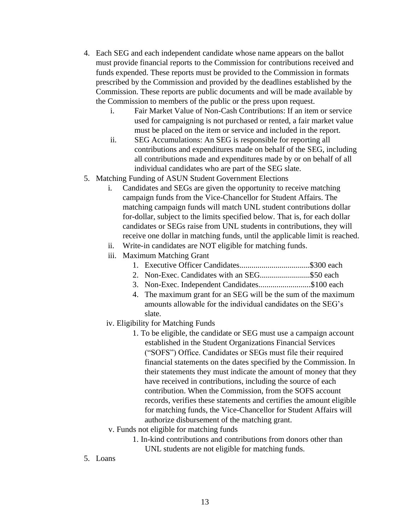- 4. Each SEG and each independent candidate whose name appears on the ballot must provide financial reports to the Commission for contributions received and funds expended. These reports must be provided to the Commission in formats prescribed by the Commission and provided by the deadlines established by the Commission. These reports are public documents and will be made available by the Commission to members of the public or the press upon request.
	- i. Fair Market Value of Non-Cash Contributions: If an item or service used for campaigning is not purchased or rented, a fair market value must be placed on the item or service and included in the report.
	- ii. SEG Accumulations: An SEG is responsible for reporting all contributions and expenditures made on behalf of the SEG, including all contributions made and expenditures made by or on behalf of all individual candidates who are part of the SEG slate.
- 5. Matching Funding of ASUN Student Government Elections
	- i. Candidates and SEGs are given the opportunity to receive matching campaign funds from the Vice-Chancellor for Student Affairs. The matching campaign funds will match UNL student contributions dollar for-dollar, subject to the limits specified below. That is, for each dollar candidates or SEGs raise from UNL students in contributions, they will receive one dollar in matching funds, until the applicable limit is reached.
	- ii. Write-in candidates are NOT eligible for matching funds.
	- iii. Maximum Matching Grant
		- 1. Executive Officer Candidates...................................\$300 each
		- 2. Non-Exec. Candidates with an SEG........................\$50 each
		- 3. Non-Exec. Independent Candidates..........................\$100 each
		- 4. The maximum grant for an SEG will be the sum of the maximum amounts allowable for the individual candidates on the SEG's slate.
	- iv. Eligibility for Matching Funds
		- 1. To be eligible, the candidate or SEG must use a campaign account established in the Student Organizations Financial Services ("SOFS") Office. Candidates or SEGs must file their required financial statements on the dates specified by the Commission. In their statements they must indicate the amount of money that they have received in contributions, including the source of each contribution. When the Commission, from the SOFS account records, verifies these statements and certifies the amount eligible for matching funds, the Vice-Chancellor for Student Affairs will authorize disbursement of the matching grant.
	- v. Funds not eligible for matching funds
		- 1. In-kind contributions and contributions from donors other than UNL students are not eligible for matching funds.
- 5. Loans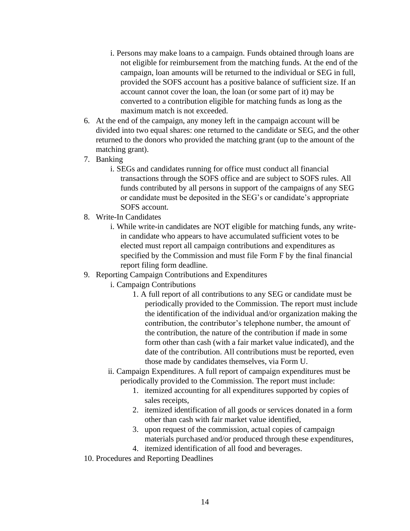- i. Persons may make loans to a campaign. Funds obtained through loans are not eligible for reimbursement from the matching funds. At the end of the campaign, loan amounts will be returned to the individual or SEG in full, provided the SOFS account has a positive balance of sufficient size. If an account cannot cover the loan, the loan (or some part of it) may be converted to a contribution eligible for matching funds as long as the maximum match is not exceeded.
- 6. At the end of the campaign, any money left in the campaign account will be divided into two equal shares: one returned to the candidate or SEG, and the other returned to the donors who provided the matching grant (up to the amount of the matching grant).
- 7. Banking
	- i. SEGs and candidates running for office must conduct all financial transactions through the SOFS office and are subject to SOFS rules. All funds contributed by all persons in support of the campaigns of any SEG or candidate must be deposited in the SEG's or candidate's appropriate SOFS account.
- 8. Write-In Candidates
	- i. While write-in candidates are NOT eligible for matching funds, any writein candidate who appears to have accumulated sufficient votes to be elected must report all campaign contributions and expenditures as specified by the Commission and must file Form F by the final financial report filing form deadline.
- 9. Reporting Campaign Contributions and Expenditures
	- i. Campaign Contributions
		- 1. A full report of all contributions to any SEG or candidate must be periodically provided to the Commission. The report must include the identification of the individual and/or organization making the contribution, the contributor's telephone number, the amount of the contribution, the nature of the contribution if made in some form other than cash (with a fair market value indicated), and the date of the contribution. All contributions must be reported, even those made by candidates themselves, via Form U.
	- ii. Campaign Expenditures. A full report of campaign expenditures must be periodically provided to the Commission. The report must include:
		- 1. itemized accounting for all expenditures supported by copies of sales receipts,
		- 2. itemized identification of all goods or services donated in a form other than cash with fair market value identified,
		- 3. upon request of the commission, actual copies of campaign materials purchased and/or produced through these expenditures,
		- 4. itemized identification of all food and beverages.
- 10. Procedures and Reporting Deadlines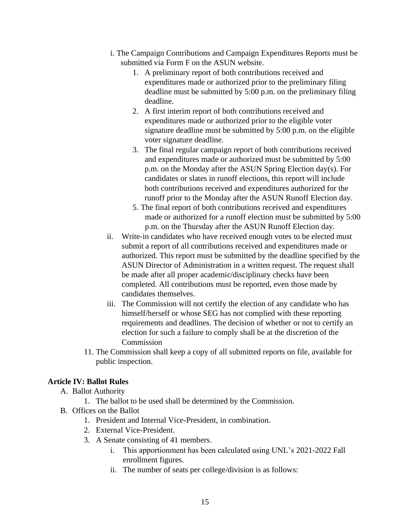- i. The Campaign Contributions and Campaign Expenditures Reports must be submitted via Form F on the ASUN website.
	- 1. A preliminary report of both contributions received and expenditures made or authorized prior to the preliminary filing deadline must be submitted by 5:00 p.m. on the preliminary filing deadline.
	- 2. A first interim report of both contributions received and expenditures made or authorized prior to the eligible voter signature deadline must be submitted by 5:00 p.m. on the eligible voter signature deadline.
	- 3. The final regular campaign report of both contributions received and expenditures made or authorized must be submitted by 5:00 p.m. on the Monday after the ASUN Spring Election day(s). For candidates or slates in runoff elections, this report will include both contributions received and expenditures authorized for the runoff prior to the Monday after the ASUN Runoff Election day.
	- 5. The final report of both contributions received and expenditures made or authorized for a runoff election must be submitted by 5:00 p.m. on the Thursday after the ASUN Runoff Election day.
- ii. Write-in candidates who have received enough votes to be elected must submit a report of all contributions received and expenditures made or authorized. This report must be submitted by the deadline specified by the ASUN Director of Administration in a written request. The request shall be made after all proper academic/disciplinary checks have been completed. All contributions must be reported, even those made by candidates themselves.
- iii. The Commission will not certify the election of any candidate who has himself/herself or whose SEG has not complied with these reporting requirements and deadlines. The decision of whether or not to certify an election for such a failure to comply shall be at the discretion of the Commission
- 11. The Commission shall keep a copy of all submitted reports on file, available for public inspection.

# <span id="page-14-0"></span>**Article IV: Ballot Rules**

- A. Ballot Authority
	- 1. The ballot to be used shall be determined by the Commission.
- B. Offices on the Ballot
	- 1. President and Internal Vice-President, in combination.
	- 2. External Vice-President.
	- 3. A Senate consisting of 41 members.
		- i. This apportionment has been calculated using UNL's 2021-2022 Fall enrollment figures.
		- ii. The number of seats per college/division is as follows: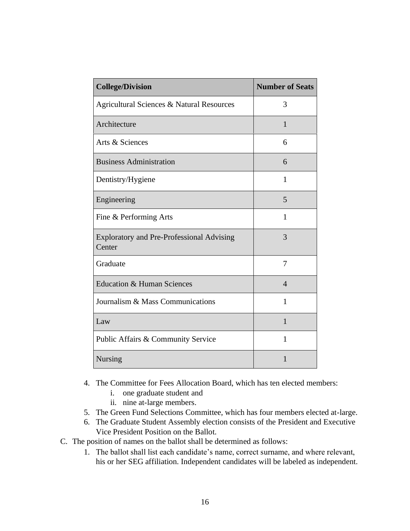| <b>College/Division</b>                                    | <b>Number of Seats</b> |
|------------------------------------------------------------|------------------------|
| Agricultural Sciences & Natural Resources                  | 3                      |
| Architecture                                               | $\mathbf{1}$           |
| Arts & Sciences                                            | 6                      |
| <b>Business Administration</b>                             | 6                      |
| Dentistry/Hygiene                                          | 1                      |
| Engineering                                                | 5                      |
| Fine & Performing Arts                                     | 1                      |
| <b>Exploratory and Pre-Professional Advising</b><br>Center | 3                      |
| Graduate                                                   | $\overline{7}$         |
| <b>Education &amp; Human Sciences</b>                      | $\overline{4}$         |
| Journalism & Mass Communications                           | 1                      |
| Law                                                        | $\mathbf{1}$           |
| Public Affairs & Community Service                         | 1                      |
| Nursing                                                    | $\mathbf{1}$           |

- 4. The Committee for Fees Allocation Board, which has ten elected members:
	- i. one graduate student and
	- ii. nine at-large members.
- 5. The Green Fund Selections Committee, which has four members elected at-large.
- 6. The Graduate Student Assembly election consists of the President and Executive Vice President Position on the Ballot.
- C. The position of names on the ballot shall be determined as follows:
	- 1. The ballot shall list each candidate's name, correct surname, and where relevant, his or her SEG affiliation. Independent candidates will be labeled as independent.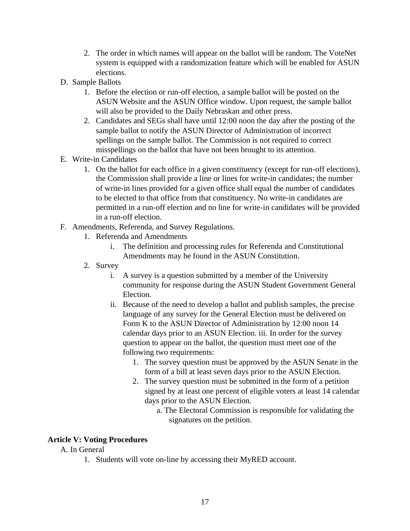- 2. The order in which names will appear on the ballot will be random. The VoteNet system is equipped with a randomization feature which will be enabled for ASUN elections.
- D. Sample Ballots
	- 1. Before the election or run-off election, a sample ballot will be posted on the ASUN Website and the ASUN Office window. Upon request, the sample ballot will also be provided to the Daily Nebraskan and other press.
	- 2. Candidates and SEGs shall have until 12:00 noon the day after the posting of the sample ballot to notify the ASUN Director of Administration of incorrect spellings on the sample ballot. The Commission is not required to correct misspellings on the ballot that have not been brought to its attention.
- E. Write-in Candidates
	- 1. On the ballot for each office in a given constituency (except for run-off elections), the Commission shall provide a line or lines for write-in candidates; the number of write-in lines provided for a given office shall equal the number of candidates to be elected to that office from that constituency. No write-in candidates are permitted in a run-off election and no line for write-in candidates will be provided in a run-off election.
- F. Amendments, Referenda, and Survey Regulations.
	- 1. Referenda and Amendments
		- i. The definition and processing rules for Referenda and Constitutional Amendments may be found in the ASUN Constitution.
	- 2. Survey
		- i. A survey is a question submitted by a member of the University community for response during the ASUN Student Government General Election.
		- ii. Because of the need to develop a ballot and publish samples, the precise language of any survey for the General Election must be delivered on Form K to the ASUN Director of Administration by 12:00 noon 14 calendar days prior to an ASUN Election. iii. In order for the survey question to appear on the ballot, the question must meet one of the following two requirements:
			- 1. The survey question must be approved by the ASUN Senate in the form of a bill at least seven days prior to the ASUN Election.
			- 2. The survey question must be submitted in the form of a petition signed by at least one percent of eligible voters at least 14 calendar days prior to the ASUN Election.
				- a. The Electoral Commission is responsible for validating the signatures on the petition.

## <span id="page-16-0"></span>**Article V: Voting Procedures**

## A. In General

1. Students will vote on-line by accessing their MyRED account.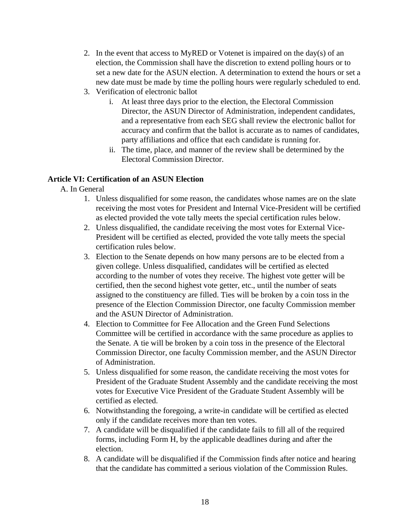- 2. In the event that access to MyRED or Votenet is impaired on the day(s) of an election, the Commission shall have the discretion to extend polling hours or to set a new date for the ASUN election. A determination to extend the hours or set a new date must be made by time the polling hours were regularly scheduled to end.
- 3. Verification of electronic ballot
	- i. At least three days prior to the election, the Electoral Commission Director, the ASUN Director of Administration, independent candidates, and a representative from each SEG shall review the electronic ballot for accuracy and confirm that the ballot is accurate as to names of candidates, party affiliations and office that each candidate is running for.
	- ii. The time, place, and manner of the review shall be determined by the Electoral Commission Director.

## <span id="page-17-0"></span>**Article VI: Certification of an ASUN Election**

- A. In General
	- 1. Unless disqualified for some reason, the candidates whose names are on the slate receiving the most votes for President and Internal Vice-President will be certified as elected provided the vote tally meets the special certification rules below.
	- 2. Unless disqualified, the candidate receiving the most votes for External Vice-President will be certified as elected, provided the vote tally meets the special certification rules below.
	- 3. Election to the Senate depends on how many persons are to be elected from a given college. Unless disqualified, candidates will be certified as elected according to the number of votes they receive. The highest vote getter will be certified, then the second highest vote getter, etc., until the number of seats assigned to the constituency are filled. Ties will be broken by a coin toss in the presence of the Election Commission Director, one faculty Commission member and the ASUN Director of Administration.
	- 4. Election to Committee for Fee Allocation and the Green Fund Selections Committee will be certified in accordance with the same procedure as applies to the Senate. A tie will be broken by a coin toss in the presence of the Electoral Commission Director, one faculty Commission member, and the ASUN Director of Administration.
	- 5. Unless disqualified for some reason, the candidate receiving the most votes for President of the Graduate Student Assembly and the candidate receiving the most votes for Executive Vice President of the Graduate Student Assembly will be certified as elected.
	- 6. Notwithstanding the foregoing, a write-in candidate will be certified as elected only if the candidate receives more than ten votes.
	- 7. A candidate will be disqualified if the candidate fails to fill all of the required forms, including Form H, by the applicable deadlines during and after the election.
	- 8. A candidate will be disqualified if the Commission finds after notice and hearing that the candidate has committed a serious violation of the Commission Rules.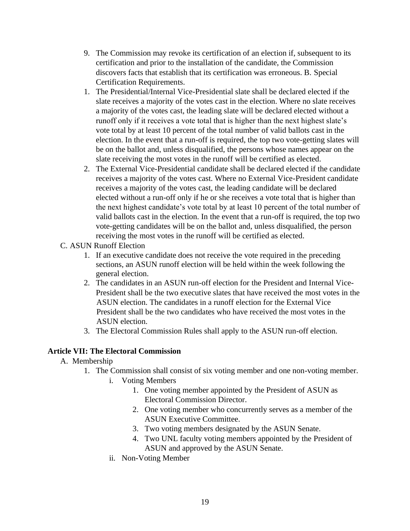- 9. The Commission may revoke its certification of an election if, subsequent to its certification and prior to the installation of the candidate, the Commission discovers facts that establish that its certification was erroneous. B. Special Certification Requirements.
- 1. The Presidential/Internal Vice-Presidential slate shall be declared elected if the slate receives a majority of the votes cast in the election. Where no slate receives a majority of the votes cast, the leading slate will be declared elected without a runoff only if it receives a vote total that is higher than the next highest slate's vote total by at least 10 percent of the total number of valid ballots cast in the election. In the event that a run-off is required, the top two vote-getting slates will be on the ballot and, unless disqualified, the persons whose names appear on the slate receiving the most votes in the runoff will be certified as elected.
- 2. The External Vice-Presidential candidate shall be declared elected if the candidate receives a majority of the votes cast. Where no External Vice-President candidate receives a majority of the votes cast, the leading candidate will be declared elected without a run-off only if he or she receives a vote total that is higher than the next highest candidate's vote total by at least 10 percent of the total number of valid ballots cast in the election. In the event that a run-off is required, the top two vote-getting candidates will be on the ballot and, unless disqualified, the person receiving the most votes in the runoff will be certified as elected.

#### C. ASUN Runoff Election

- 1. If an executive candidate does not receive the vote required in the preceding sections, an ASUN runoff election will be held within the week following the general election.
- 2. The candidates in an ASUN run-off election for the President and Internal Vice-President shall be the two executive slates that have received the most votes in the ASUN election. The candidates in a runoff election for the External Vice President shall be the two candidates who have received the most votes in the ASUN election.
- 3. The Electoral Commission Rules shall apply to the ASUN run-off election.

## <span id="page-18-0"></span>**Article VII: The Electoral Commission**

#### A. Membership

- 1. The Commission shall consist of six voting member and one non-voting member.
	- i. Voting Members
		- 1. One voting member appointed by the President of ASUN as Electoral Commission Director.
		- 2. One voting member who concurrently serves as a member of the ASUN Executive Committee.
		- 3. Two voting members designated by the ASUN Senate.
		- 4. Two UNL faculty voting members appointed by the President of ASUN and approved by the ASUN Senate.
	- ii. Non-Voting Member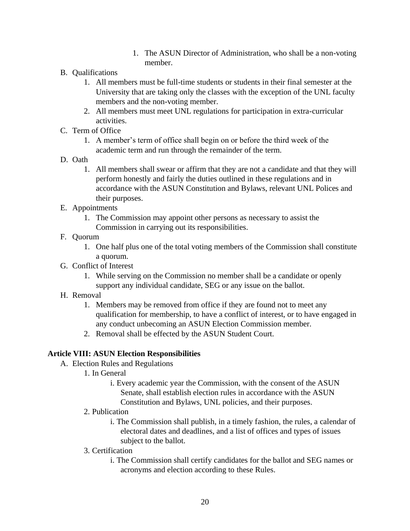- 1. The ASUN Director of Administration, who shall be a non-voting member.
- B. Qualifications
	- 1. All members must be full-time students or students in their final semester at the University that are taking only the classes with the exception of the UNL faculty members and the non-voting member.
	- 2. All members must meet UNL regulations for participation in extra-curricular activities.
- C. Term of Office
	- 1. A member's term of office shall begin on or before the third week of the academic term and run through the remainder of the term.
- D. Oath
	- 1. All members shall swear or affirm that they are not a candidate and that they will perform honestly and fairly the duties outlined in these regulations and in accordance with the ASUN Constitution and Bylaws, relevant UNL Polices and their purposes.
- E. Appointments
	- 1. The Commission may appoint other persons as necessary to assist the Commission in carrying out its responsibilities.

#### F. Quorum

- 1. One half plus one of the total voting members of the Commission shall constitute a quorum.
- G. Conflict of Interest
	- 1. While serving on the Commission no member shall be a candidate or openly support any individual candidate, SEG or any issue on the ballot.
- H. Removal
	- 1. Members may be removed from office if they are found not to meet any qualification for membership, to have a conflict of interest, or to have engaged in any conduct unbecoming an ASUN Election Commission member.
	- 2. Removal shall be effected by the ASUN Student Court.

## <span id="page-19-0"></span>**Article VIII: ASUN Election Responsibilities**

- A. Election Rules and Regulations
	- 1. In General
		- i. Every academic year the Commission, with the consent of the ASUN Senate, shall establish election rules in accordance with the ASUN Constitution and Bylaws, UNL policies, and their purposes.
	- 2. Publication
		- i. The Commission shall publish, in a timely fashion, the rules, a calendar of electoral dates and deadlines, and a list of offices and types of issues subject to the ballot.
	- 3. Certification
		- i. The Commission shall certify candidates for the ballot and SEG names or acronyms and election according to these Rules.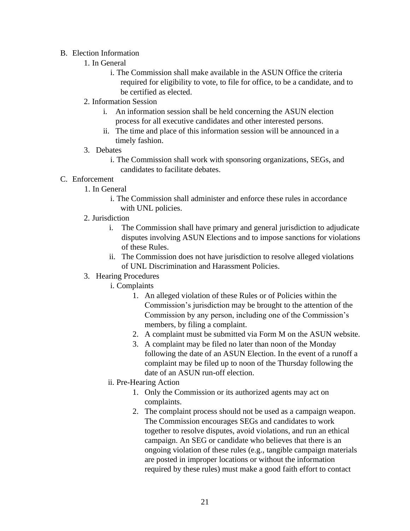#### B. Election Information

- 1. In General
	- i. The Commission shall make available in the ASUN Office the criteria required for eligibility to vote, to file for office, to be a candidate, and to be certified as elected.
- 2. Information Session
	- i. An information session shall be held concerning the ASUN election process for all executive candidates and other interested persons.
	- ii. The time and place of this information session will be announced in a timely fashion.
- 3. Debates
	- i. The Commission shall work with sponsoring organizations, SEGs, and candidates to facilitate debates.
- C. Enforcement
	- 1. In General
		- i. The Commission shall administer and enforce these rules in accordance with UNL policies.
	- 2. Jurisdiction
		- i. The Commission shall have primary and general jurisdiction to adjudicate disputes involving ASUN Elections and to impose sanctions for violations of these Rules.
		- ii. The Commission does not have jurisdiction to resolve alleged violations of UNL Discrimination and Harassment Policies.
	- 3. Hearing Procedures
		- i. Complaints
			- 1. An alleged violation of these Rules or of Policies within the Commission's jurisdiction may be brought to the attention of the Commission by any person, including one of the Commission's members, by filing a complaint.
			- 2. A complaint must be submitted via Form M on the ASUN website.
			- 3. A complaint may be filed no later than noon of the Monday following the date of an ASUN Election. In the event of a runoff a complaint may be filed up to noon of the Thursday following the date of an ASUN run-off election.
		- ii. Pre-Hearing Action
			- 1. Only the Commission or its authorized agents may act on complaints.
			- 2. The complaint process should not be used as a campaign weapon. The Commission encourages SEGs and candidates to work together to resolve disputes, avoid violations, and run an ethical campaign. An SEG or candidate who believes that there is an ongoing violation of these rules (e.g., tangible campaign materials are posted in improper locations or without the information required by these rules) must make a good faith effort to contact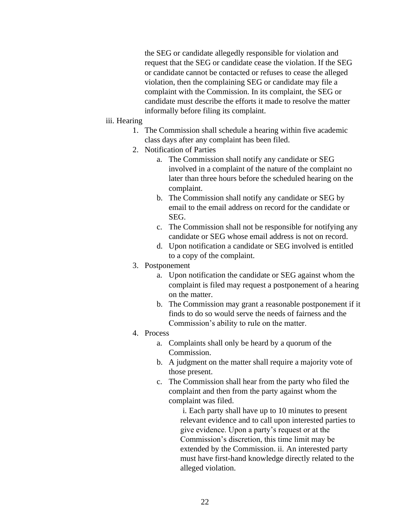the SEG or candidate allegedly responsible for violation and request that the SEG or candidate cease the violation. If the SEG or candidate cannot be contacted or refuses to cease the alleged violation, then the complaining SEG or candidate may file a complaint with the Commission. In its complaint, the SEG or candidate must describe the efforts it made to resolve the matter informally before filing its complaint.

#### iii. Hearing

- 1. The Commission shall schedule a hearing within five academic class days after any complaint has been filed.
- 2. Notification of Parties
	- a. The Commission shall notify any candidate or SEG involved in a complaint of the nature of the complaint no later than three hours before the scheduled hearing on the complaint.
	- b. The Commission shall notify any candidate or SEG by email to the email address on record for the candidate or SEG.
	- c. The Commission shall not be responsible for notifying any candidate or SEG whose email address is not on record.
	- d. Upon notification a candidate or SEG involved is entitled to a copy of the complaint.
- 3. Postponement
	- a. Upon notification the candidate or SEG against whom the complaint is filed may request a postponement of a hearing on the matter.
	- b. The Commission may grant a reasonable postponement if it finds to do so would serve the needs of fairness and the Commission's ability to rule on the matter.
- 4. Process
	- a. Complaints shall only be heard by a quorum of the Commission.
	- b. A judgment on the matter shall require a majority vote of those present.
	- c. The Commission shall hear from the party who filed the complaint and then from the party against whom the complaint was filed.

i. Each party shall have up to 10 minutes to present relevant evidence and to call upon interested parties to give evidence. Upon a party's request or at the Commission's discretion, this time limit may be extended by the Commission. ii. An interested party must have first-hand knowledge directly related to the alleged violation.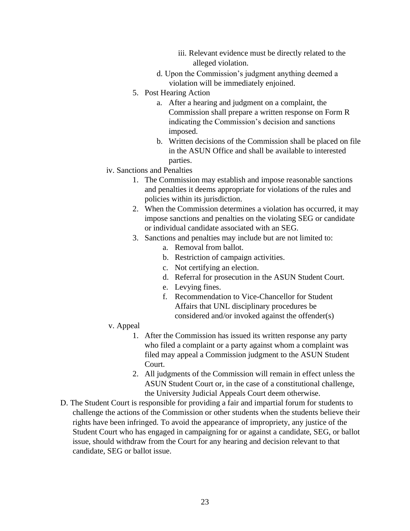- iii. Relevant evidence must be directly related to the alleged violation.
- d. Upon the Commission's judgment anything deemed a violation will be immediately enjoined.
- 5. Post Hearing Action
	- a. After a hearing and judgment on a complaint, the Commission shall prepare a written response on Form R indicating the Commission's decision and sanctions imposed.
	- b. Written decisions of the Commission shall be placed on file in the ASUN Office and shall be available to interested parties.
- iv. Sanctions and Penalties
	- 1. The Commission may establish and impose reasonable sanctions and penalties it deems appropriate for violations of the rules and policies within its jurisdiction.
	- 2. When the Commission determines a violation has occurred, it may impose sanctions and penalties on the violating SEG or candidate or individual candidate associated with an SEG.
	- 3. Sanctions and penalties may include but are not limited to:
		- a. Removal from ballot.
		- b. Restriction of campaign activities.
		- c. Not certifying an election.
		- d. Referral for prosecution in the ASUN Student Court.
		- e. Levying fines.
		- f. Recommendation to Vice-Chancellor for Student Affairs that UNL disciplinary procedures be considered and/or invoked against the offender(s)
- v. Appeal
	- 1. After the Commission has issued its written response any party who filed a complaint or a party against whom a complaint was filed may appeal a Commission judgment to the ASUN Student Court.
	- 2. All judgments of the Commission will remain in effect unless the ASUN Student Court or, in the case of a constitutional challenge, the University Judicial Appeals Court deem otherwise.
- D. The Student Court is responsible for providing a fair and impartial forum for students to challenge the actions of the Commission or other students when the students believe their rights have been infringed. To avoid the appearance of impropriety, any justice of the Student Court who has engaged in campaigning for or against a candidate, SEG, or ballot issue, should withdraw from the Court for any hearing and decision relevant to that candidate, SEG or ballot issue.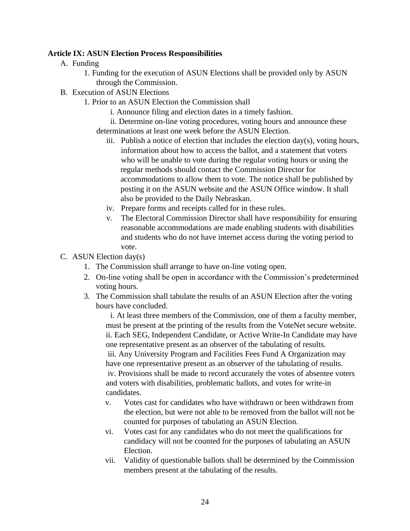#### <span id="page-23-0"></span>**Article IX: ASUN Election Process Responsibilities**

- A. Funding
	- 1. Funding for the execution of ASUN Elections shall be provided only by ASUN through the Commission.
- B. Execution of ASUN Elections
	- 1. Prior to an ASUN Election the Commission shall
		- i. Announce filing and election dates in a timely fashion.
		- ii. Determine on-line voting procedures, voting hours and announce these determinations at least one week before the ASUN Election.
			- iii. Publish a notice of election that includes the election  $day(s)$ , voting hours, information about how to access the ballot, and a statement that voters who will be unable to vote during the regular voting hours or using the regular methods should contact the Commission Director for accommodations to allow them to vote. The notice shall be published by posting it on the ASUN website and the ASUN Office window. It shall also be provided to the Daily Nebraskan.
			- iv. Prepare forms and receipts called for in these rules.
			- v. The Electoral Commission Director shall have responsibility for ensuring reasonable accommodations are made enabling students with disabilities and students who do not have internet access during the voting period to vote.
- C. ASUN Election day(s)
	- 1. The Commission shall arrange to have on-line voting open.
	- 2. On-line voting shall be open in accordance with the Commission's predetermined voting hours.
	- 3. The Commission shall tabulate the results of an ASUN Election after the voting hours have concluded.

i. At least three members of the Commission, one of them a faculty member, must be present at the printing of the results from the VoteNet secure website. ii. Each SEG, Independent Candidate, or Active Write-In Candidate may have one representative present as an observer of the tabulating of results. iii. Any University Program and Facilities Fees Fund A Organization may have one representative present as an observer of the tabulating of results. iv. Provisions shall be made to record accurately the votes of absentee voters and voters with disabilities, problematic ballots, and votes for write-in candidates.

- v. Votes cast for candidates who have withdrawn or been withdrawn from the election, but were not able to be removed from the ballot will not be counted for purposes of tabulating an ASUN Election.
- vi. Votes cast for any candidates who do not meet the qualifications for candidacy will not be counted for the purposes of tabulating an ASUN Election.
- vii. Validity of questionable ballots shall be determined by the Commission members present at the tabulating of the results.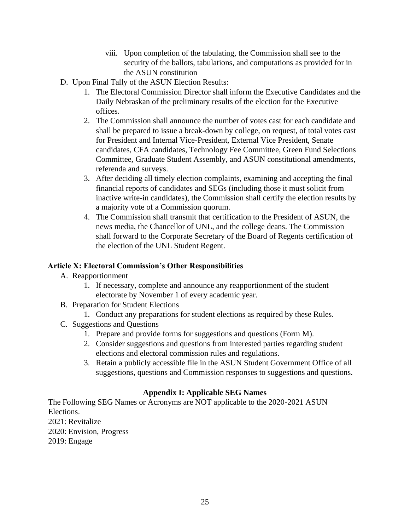- viii. Upon completion of the tabulating, the Commission shall see to the security of the ballots, tabulations, and computations as provided for in the ASUN constitution
- D. Upon Final Tally of the ASUN Election Results:
	- 1. The Electoral Commission Director shall inform the Executive Candidates and the Daily Nebraskan of the preliminary results of the election for the Executive offices.
	- 2. The Commission shall announce the number of votes cast for each candidate and shall be prepared to issue a break-down by college, on request, of total votes cast for President and Internal Vice-President, External Vice President, Senate candidates, CFA candidates, Technology Fee Committee, Green Fund Selections Committee, Graduate Student Assembly, and ASUN constitutional amendments, referenda and surveys.
	- 3. After deciding all timely election complaints, examining and accepting the final financial reports of candidates and SEGs (including those it must solicit from inactive write-in candidates), the Commission shall certify the election results by a majority vote of a Commission quorum.
	- 4. The Commission shall transmit that certification to the President of ASUN, the news media, the Chancellor of UNL, and the college deans. The Commission shall forward to the Corporate Secretary of the Board of Regents certification of the election of the UNL Student Regent.

#### <span id="page-24-0"></span>**Article X: Electoral Commission's Other Responsibilities**

- A. Reapportionment
	- 1. If necessary, complete and announce any reapportionment of the student electorate by November 1 of every academic year.
- B. Preparation for Student Elections
	- 1. Conduct any preparations for student elections as required by these Rules.
- C. Suggestions and Questions
	- 1. Prepare and provide forms for suggestions and questions (Form M).
	- 2. Consider suggestions and questions from interested parties regarding student elections and electoral commission rules and regulations.
	- 3. Retain a publicly accessible file in the ASUN Student Government Office of all suggestions, questions and Commission responses to suggestions and questions.

## **Appendix I: Applicable SEG Names**

<span id="page-24-1"></span>The Following SEG Names or Acronyms are NOT applicable to the 2020-2021 ASUN Elections.

2021: Revitalize

2020: Envision, Progress

2019: Engage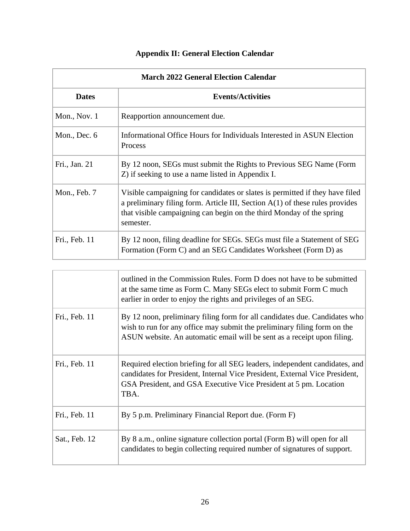# **Appendix II: General Election Calendar**

<span id="page-25-0"></span>

| <b>March 2022 General Election Calendar</b> |                                                                                                                                                                                                                                                     |
|---------------------------------------------|-----------------------------------------------------------------------------------------------------------------------------------------------------------------------------------------------------------------------------------------------------|
| <b>Dates</b>                                | <b>Events/Activities</b>                                                                                                                                                                                                                            |
| Mon., Nov. $1$                              | Reapportion announcement due.                                                                                                                                                                                                                       |
| Mon., Dec. $6$                              | Informational Office Hours for Individuals Interested in ASUN Election<br>Process                                                                                                                                                                   |
| Fri., Jan. 21                               | By 12 noon, SEGs must submit the Rights to Previous SEG Name (Form<br>Z) if seeking to use a name listed in Appendix I.                                                                                                                             |
| Mon., Feb. 7                                | Visible campaigning for candidates or slates is permitted if they have filed<br>a preliminary filing form. Article III, Section $A(1)$ of these rules provides<br>that visible campaigning can begin on the third Monday of the spring<br>semester. |
| Fri., Feb. 11                               | By 12 noon, filing deadline for SEGs. SEGs must file a Statement of SEG<br>Formation (Form C) and an SEG Candidates Worksheet (Form D) as                                                                                                           |

|               | outlined in the Commission Rules. Form D does not have to be submitted<br>at the same time as Form C. Many SEGs elect to submit Form C much<br>earlier in order to enjoy the rights and privileges of an SEG.                           |
|---------------|-----------------------------------------------------------------------------------------------------------------------------------------------------------------------------------------------------------------------------------------|
| Fri., Feb. 11 | By 12 noon, preliminary filing form for all candidates due. Candidates who<br>wish to run for any office may submit the preliminary filing form on the<br>ASUN website. An automatic email will be sent as a receipt upon filing.       |
| Fri., Feb. 11 | Required election briefing for all SEG leaders, independent candidates, and<br>candidates for President, Internal Vice President, External Vice President,<br>GSA President, and GSA Executive Vice President at 5 pm. Location<br>TBA. |
| Fri., Feb. 11 | By 5 p.m. Preliminary Financial Report due. (Form F)                                                                                                                                                                                    |
| Sat., Feb. 12 | By 8 a.m., online signature collection portal (Form B) will open for all<br>candidates to begin collecting required number of signatures of support.                                                                                    |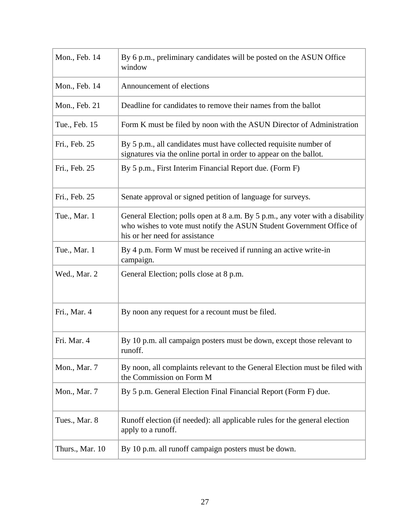| Mon., Feb. 14   | By 6 p.m., preliminary candidates will be posted on the ASUN Office<br>window                                                                                                           |
|-----------------|-----------------------------------------------------------------------------------------------------------------------------------------------------------------------------------------|
| Mon., Feb. 14   | Announcement of elections                                                                                                                                                               |
| Mon., Feb. 21   | Deadline for candidates to remove their names from the ballot                                                                                                                           |
| Tue., Feb. 15   | Form K must be filed by noon with the ASUN Director of Administration                                                                                                                   |
| Fri., Feb. 25   | By 5 p.m., all candidates must have collected requisite number of<br>signatures via the online portal in order to appear on the ballot.                                                 |
| Fri., Feb. 25   | By 5 p.m., First Interim Financial Report due. (Form F)                                                                                                                                 |
| Fri., Feb. 25   | Senate approval or signed petition of language for surveys.                                                                                                                             |
| Tue., Mar. 1    | General Election; polls open at 8 a.m. By 5 p.m., any voter with a disability<br>who wishes to vote must notify the ASUN Student Government Office of<br>his or her need for assistance |
| Tue., Mar. 1    | By 4 p.m. Form W must be received if running an active write-in<br>campaign.                                                                                                            |
| Wed., Mar. 2    | General Election; polls close at 8 p.m.                                                                                                                                                 |
| Fri., Mar. 4    | By noon any request for a recount must be filed.                                                                                                                                        |
| Fri. Mar. 4     | By 10 p.m. all campaign posters must be down, except those relevant to<br>runoff.                                                                                                       |
| Mon., Mar. 7    | By noon, all complaints relevant to the General Election must be filed with<br>the Commission on Form M                                                                                 |
| Mon., Mar. 7    | By 5 p.m. General Election Final Financial Report (Form F) due.                                                                                                                         |
| Tues., Mar. 8   | Runoff election (if needed): all applicable rules for the general election<br>apply to a runoff.                                                                                        |
| Thurs., Mar. 10 | By 10 p.m. all runoff campaign posters must be down.                                                                                                                                    |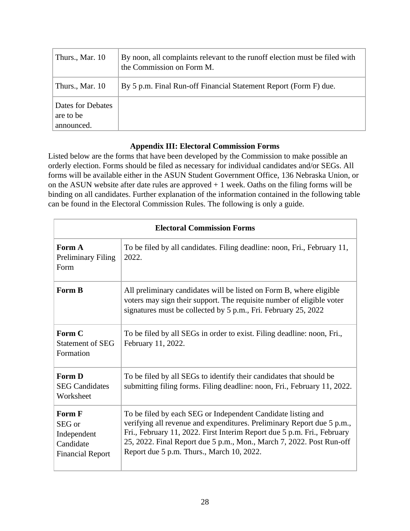| Thurs., Mar. 10                              | By noon, all complaints relevant to the runoff election must be filed with<br>the Commission on Form M. |
|----------------------------------------------|---------------------------------------------------------------------------------------------------------|
| Thurs., Mar. 10                              | By 5 p.m. Final Run-off Financial Statement Report (Form F) due.                                        |
| Dates for Debates<br>are to be<br>announced. |                                                                                                         |

## **Appendix III: Electoral Commission Forms**

<span id="page-27-0"></span>Listed below are the forms that have been developed by the Commission to make possible an orderly election. Forms should be filed as necessary for individual candidates and/or SEGs. All forms will be available either in the ASUN Student Government Office, 136 Nebraska Union, or on the ASUN website after date rules are approved  $+1$  week. Oaths on the filing forms will be binding on all candidates. Further explanation of the information contained in the following table can be found in the Electoral Commission Rules. The following is only a guide.

| <b>Electoral Commission Forms</b>                                       |                                                                                                                                                                                                                                                                                                                                        |  |
|-------------------------------------------------------------------------|----------------------------------------------------------------------------------------------------------------------------------------------------------------------------------------------------------------------------------------------------------------------------------------------------------------------------------------|--|
| Form A<br><b>Preliminary Filing</b><br>Form                             | To be filed by all candidates. Filing deadline: noon, Fri., February 11,<br>2022.                                                                                                                                                                                                                                                      |  |
| Form B                                                                  | All preliminary candidates will be listed on Form B, where eligible<br>voters may sign their support. The requisite number of eligible voter<br>signatures must be collected by 5 p.m., Fri. February 25, 2022                                                                                                                         |  |
| Form C<br><b>Statement of SEG</b><br>Formation                          | To be filed by all SEGs in order to exist. Filing deadline: noon, Fri.,<br>February 11, 2022.                                                                                                                                                                                                                                          |  |
| Form D<br><b>SEG Candidates</b><br>Worksheet                            | To be filed by all SEGs to identify their candidates that should be<br>submitting filing forms. Filing deadline: noon, Fri., February 11, 2022.                                                                                                                                                                                        |  |
| Form F<br>SEG or<br>Independent<br>Candidate<br><b>Financial Report</b> | To be filed by each SEG or Independent Candidate listing and<br>verifying all revenue and expenditures. Preliminary Report due 5 p.m.,<br>Fri., February 11, 2022. First Interim Report due 5 p.m. Fri., February<br>25, 2022. Final Report due 5 p.m., Mon., March 7, 2022. Post Run-off<br>Report due 5 p.m. Thurs., March 10, 2022. |  |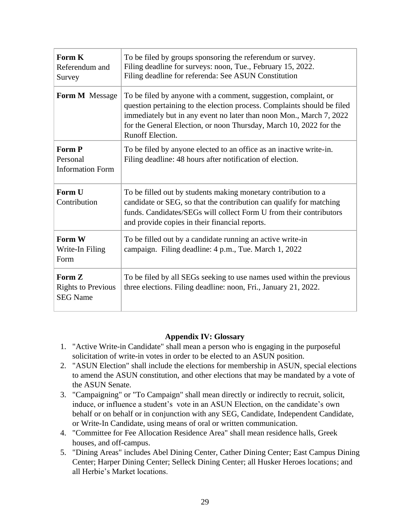| Form K<br>Referendum and<br>Survey                     | To be filed by groups sponsoring the referendum or survey.<br>Filing deadline for surveys: noon, Tue., February 15, 2022.<br>Filing deadline for referenda: See ASUN Constitution                                                                                                                                  |
|--------------------------------------------------------|--------------------------------------------------------------------------------------------------------------------------------------------------------------------------------------------------------------------------------------------------------------------------------------------------------------------|
| Form M Message                                         | To be filed by anyone with a comment, suggestion, complaint, or<br>question pertaining to the election process. Complaints should be filed<br>immediately but in any event no later than noon Mon., March 7, 2022<br>for the General Election, or noon Thursday, March 10, 2022 for the<br><b>Runoff Election.</b> |
| Form P<br>Personal<br><b>Information Form</b>          | To be filed by anyone elected to an office as an inactive write-in.<br>Filing deadline: 48 hours after notification of election.                                                                                                                                                                                   |
| Form U<br>Contribution                                 | To be filled out by students making monetary contribution to a<br>candidate or SEG, so that the contribution can qualify for matching<br>funds. Candidates/SEGs will collect Form U from their contributors<br>and provide copies in their financial reports.                                                      |
| Form W<br>Write-In Filing<br>Form                      | To be filled out by a candidate running an active write-in<br>campaign. Filing deadline: 4 p.m., Tue. March 1, 2022                                                                                                                                                                                                |
| Form Z<br><b>Rights to Previous</b><br><b>SEG Name</b> | To be filed by all SEGs seeking to use names used within the previous<br>three elections. Filing deadline: noon, Fri., January 21, 2022.                                                                                                                                                                           |

#### **Appendix IV: Glossary**

- <span id="page-28-0"></span>1. "Active Write-in Candidate" shall mean a person who is engaging in the purposeful solicitation of write-in votes in order to be elected to an ASUN position.
- 2. "ASUN Election" shall include the elections for membership in ASUN, special elections to amend the ASUN constitution, and other elections that may be mandated by a vote of the ASUN Senate.
- 3. "Campaigning" or "To Campaign" shall mean directly or indirectly to recruit, solicit, induce, or influence a student's vote in an ASUN Election, on the candidate's own behalf or on behalf or in conjunction with any SEG, Candidate, Independent Candidate, or Write-In Candidate, using means of oral or written communication.
- 4. "Committee for Fee Allocation Residence Area" shall mean residence halls, Greek houses, and off-campus.
- 5. "Dining Areas" includes Abel Dining Center, Cather Dining Center; East Campus Dining Center; Harper Dining Center; Selleck Dining Center; all Husker Heroes locations; and all Herbie's Market locations.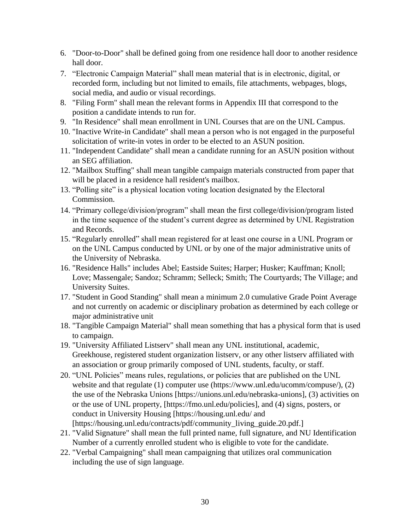- 6. "Door-to-Door" shall be defined going from one residence hall door to another residence hall door.
- 7. "Electronic Campaign Material" shall mean material that is in electronic, digital, or recorded form, including but not limited to emails, file attachments, webpages, blogs, social media, and audio or visual recordings.
- 8. "Filing Form" shall mean the relevant forms in Appendix III that correspond to the position a candidate intends to run for.
- 9. "In Residence" shall mean enrollment in UNL Courses that are on the UNL Campus.
- 10. "Inactive Write-in Candidate" shall mean a person who is not engaged in the purposeful solicitation of write-in votes in order to be elected to an ASUN position.
- 11. "Independent Candidate" shall mean a candidate running for an ASUN position without an SEG affiliation.
- 12. "Mailbox Stuffing" shall mean tangible campaign materials constructed from paper that will be placed in a residence hall resident's mailbox.
- 13. "Polling site" is a physical location voting location designated by the Electoral Commission.
- 14. "Primary college/division/program" shall mean the first college/division/program listed in the time sequence of the student's current degree as determined by UNL Registration and Records.
- 15. "Regularly enrolled" shall mean registered for at least one course in a UNL Program or on the UNL Campus conducted by UNL or by one of the major administrative units of the University of Nebraska.
- 16. "Residence Halls" includes Abel; Eastside Suites; Harper; Husker; Kauffman; Knoll; Love; Massengale; Sandoz; Schramm; Selleck; Smith; The Courtyards; The Village; and University Suites.
- 17. "Student in Good Standing" shall mean a minimum 2.0 cumulative Grade Point Average and not currently on academic or disciplinary probation as determined by each college or major administrative unit
- 18. "Tangible Campaign Material" shall mean something that has a physical form that is used to campaign.
- 19. "University Affiliated Listserv" shall mean any UNL institutional, academic, Greekhouse, registered student organization listserv, or any other listserv affiliated with an association or group primarily composed of UNL students, faculty, or staff.
- 20. "UNL Policies" means rules, regulations, or policies that are published on the UNL website and that regulate (1) computer use (https://www.unl.edu/ucomm/compuse/), (2) the use of the Nebraska Unions [https://unions.unl.edu/nebraska-unions], (3) activities on or the use of UNL property, [https://fmo.unl.edu/policies], and (4) signs, posters, or conduct in University Housing [https://housing.unl.edu/ and [https://housing.unl.edu/contracts/pdf/community\_living\_guide.20.pdf.]
- 21. "Valid Signature" shall mean the full printed name, full signature, and NU Identification Number of a currently enrolled student who is eligible to vote for the candidate.
- 22. "Verbal Campaigning" shall mean campaigning that utilizes oral communication including the use of sign language.